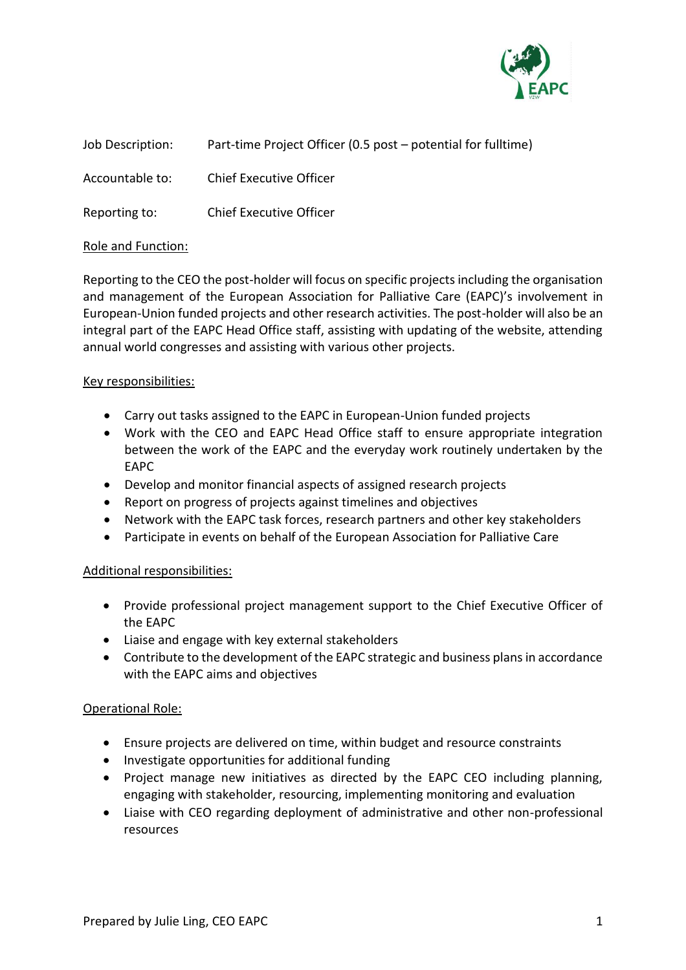

| Job Description: | Part-time Project Officer (0.5 post – potential for fulltime) |
|------------------|---------------------------------------------------------------|
|------------------|---------------------------------------------------------------|

Accountable to: Chief Executive Officer

Reporting to: Chief Executive Officer

#### Role and Function:

Reporting to the CEO the post-holder will focus on specific projects including the organisation and management of the European Association for Palliative Care (EAPC)'s involvement in European-Union funded projects and other research activities. The post-holder will also be an integral part of the EAPC Head Office staff, assisting with updating of the website, attending annual world congresses and assisting with various other projects.

### Key responsibilities:

- Carry out tasks assigned to the EAPC in European-Union funded projects
- Work with the CEO and EAPC Head Office staff to ensure appropriate integration between the work of the EAPC and the everyday work routinely undertaken by the EAPC
- Develop and monitor financial aspects of assigned research projects
- Report on progress of projects against timelines and objectives
- Network with the EAPC task forces, research partners and other key stakeholders
- Participate in events on behalf of the European Association for Palliative Care

### Additional responsibilities:

- Provide professional project management support to the Chief Executive Officer of the EAPC
- Liaise and engage with key external stakeholders
- Contribute to the development of the EAPC strategic and business plans in accordance with the EAPC aims and objectives

### Operational Role:

- Ensure projects are delivered on time, within budget and resource constraints
- Investigate opportunities for additional funding
- Project manage new initiatives as directed by the EAPC CEO including planning, engaging with stakeholder, resourcing, implementing monitoring and evaluation
- Liaise with CEO regarding deployment of administrative and other non-professional resources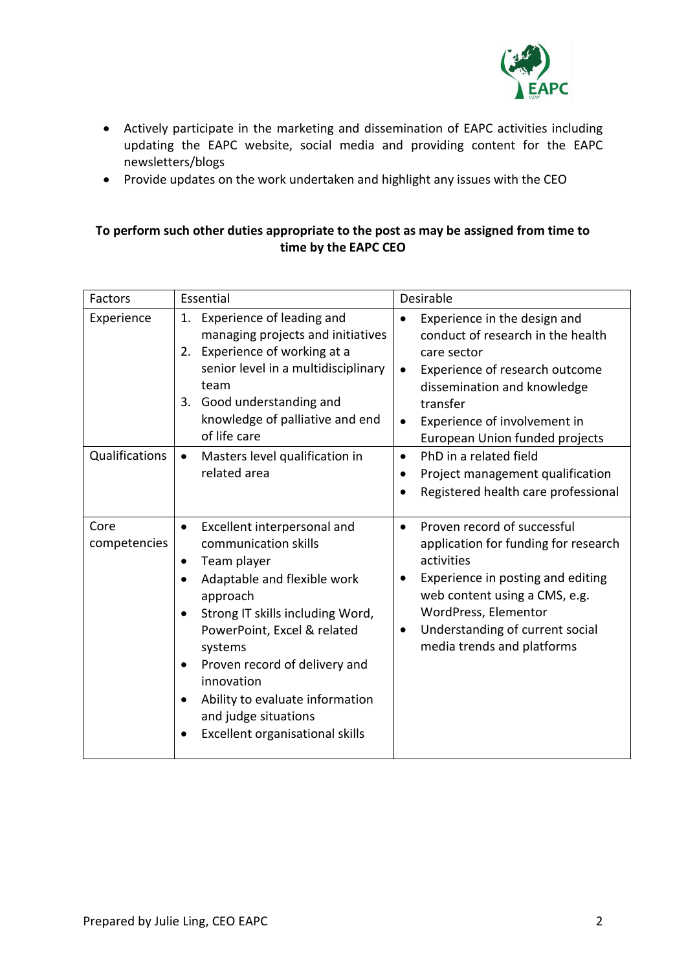

- Actively participate in the marketing and dissemination of EAPC activities including updating the EAPC website, social media and providing content for the EAPC newsletters/blogs
- Provide updates on the work undertaken and highlight any issues with the CEO

#### **To perform such other duties appropriate to the post as may be assigned from time to time by the EAPC CEO**

| Factors              | Essential                                                                                                                                                                                                                                                                                                                                                                                                 | Desirable                                                                                                                                                                                                                                                                  |
|----------------------|-----------------------------------------------------------------------------------------------------------------------------------------------------------------------------------------------------------------------------------------------------------------------------------------------------------------------------------------------------------------------------------------------------------|----------------------------------------------------------------------------------------------------------------------------------------------------------------------------------------------------------------------------------------------------------------------------|
| Experience           | Experience of leading and<br>1.<br>managing projects and initiatives<br>2. Experience of working at a<br>senior level in a multidisciplinary<br>team<br>3. Good understanding and<br>knowledge of palliative and end<br>of life care                                                                                                                                                                      | Experience in the design and<br>$\bullet$<br>conduct of research in the health<br>care sector<br>Experience of research outcome<br>$\bullet$<br>dissemination and knowledge<br>transfer<br>Experience of involvement in<br>$\bullet$<br>European Union funded projects     |
| Qualifications       | Masters level qualification in<br>$\bullet$<br>related area                                                                                                                                                                                                                                                                                                                                               | PhD in a related field<br>$\bullet$<br>Project management qualification<br>$\bullet$<br>Registered health care professional<br>$\bullet$                                                                                                                                   |
| Core<br>competencies | Excellent interpersonal and<br>$\bullet$<br>communication skills<br>Team player<br>$\bullet$<br>Adaptable and flexible work<br>approach<br>Strong IT skills including Word,<br>$\bullet$<br>PowerPoint, Excel & related<br>systems<br>Proven record of delivery and<br>$\bullet$<br>innovation<br>Ability to evaluate information<br>$\bullet$<br>and judge situations<br>Excellent organisational skills | Proven record of successful<br>$\bullet$<br>application for funding for research<br>activities<br>Experience in posting and editing<br>web content using a CMS, e.g.<br>WordPress, Elementor<br>Understanding of current social<br>$\bullet$<br>media trends and platforms |